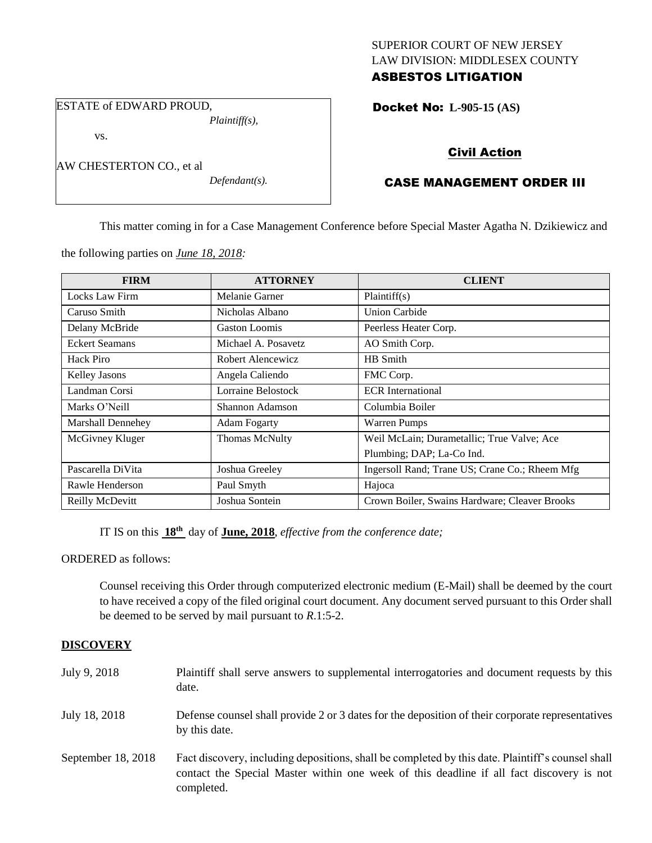## SUPERIOR COURT OF NEW JERSEY LAW DIVISION: MIDDLESEX COUNTY ASBESTOS LITIGATION

ESTATE of EDWARD PROUD, *Plaintiff(s),*

vs.

AW CHESTERTON CO., et al

*Defendant(s).*

Docket No: **L-905-15 (AS)** 

# Civil Action

# CASE MANAGEMENT ORDER III

This matter coming in for a Case Management Conference before Special Master Agatha N. Dzikiewicz and

the following parties on *June 18, 2018:*

| <b>FIRM</b>              | <b>ATTORNEY</b>      | <b>CLIENT</b>                                  |
|--------------------------|----------------------|------------------------------------------------|
| Locks Law Firm           | Melanie Garner       | Plaintiff(s)                                   |
| Caruso Smith             | Nicholas Albano      | <b>Union Carbide</b>                           |
| Delany McBride           | <b>Gaston Loomis</b> | Peerless Heater Corp.                          |
| <b>Eckert Seamans</b>    | Michael A. Posavetz  | AO Smith Corp.                                 |
| Hack Piro                | Robert Alencewicz    | HB Smith                                       |
| Kelley Jasons            | Angela Caliendo      | FMC Corp.                                      |
| Landman Corsi            | Lorraine Belostock   | <b>ECR</b> International                       |
| Marks O'Neill            | Shannon Adamson      | Columbia Boiler                                |
| <b>Marshall Dennehey</b> | <b>Adam Fogarty</b>  | Warren Pumps                                   |
| McGivney Kluger          | Thomas McNulty       | Weil McLain; Durametallic; True Valve; Ace     |
|                          |                      | Plumbing; DAP; La-Co Ind.                      |
| Pascarella DiVita        | Joshua Greeley       | Ingersoll Rand; Trane US; Crane Co.; Rheem Mfg |
| Rawle Henderson          | Paul Smyth           | Hajoca                                         |
| Reilly McDevitt          | Joshua Sontein       | Crown Boiler, Swains Hardware; Cleaver Brooks  |

IT IS on this  $18^{th}$  day of **June, 2018**, *effective from the conference date*;

ORDERED as follows:

Counsel receiving this Order through computerized electronic medium (E-Mail) shall be deemed by the court to have received a copy of the filed original court document. Any document served pursuant to this Order shall be deemed to be served by mail pursuant to *R*.1:5-2.

# **DISCOVERY**

| July 9, 2018       | Plaintiff shall serve answers to supplemental interrogatories and document requests by this<br>date.                                                                                                        |
|--------------------|-------------------------------------------------------------------------------------------------------------------------------------------------------------------------------------------------------------|
| July 18, 2018      | Defense counsel shall provide 2 or 3 dates for the deposition of their corporate representatives<br>by this date.                                                                                           |
| September 18, 2018 | Fact discovery, including depositions, shall be completed by this date. Plaintiff's counsel shall<br>contact the Special Master within one week of this deadline if all fact discovery is not<br>completed. |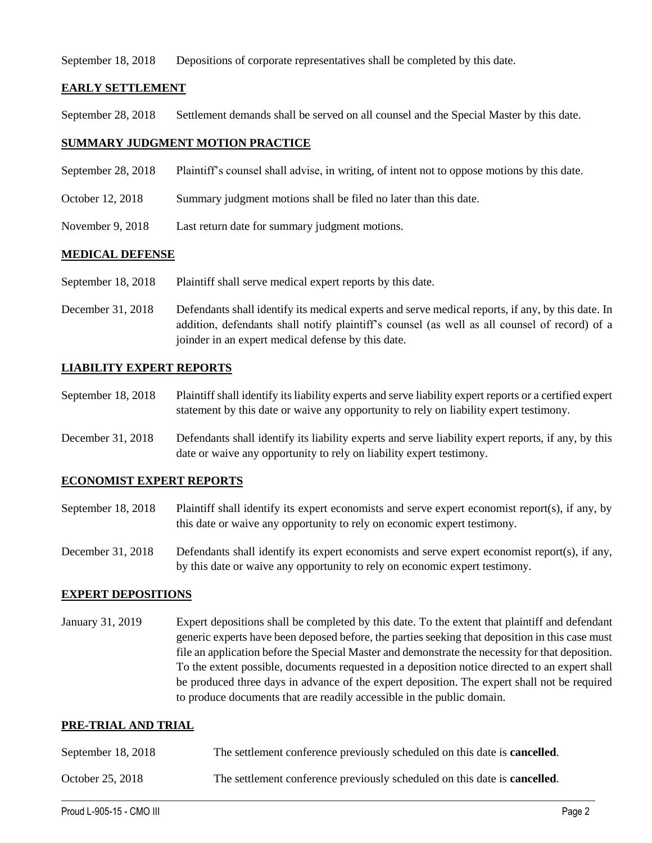September 18, 2018 Depositions of corporate representatives shall be completed by this date.

### **EARLY SETTLEMENT**

September 28, 2018 Settlement demands shall be served on all counsel and the Special Master by this date.

### **SUMMARY JUDGMENT MOTION PRACTICE**

- September 28, 2018 Plaintiff's counsel shall advise, in writing, of intent not to oppose motions by this date.
- October 12, 2018 Summary judgment motions shall be filed no later than this date.
- November 9, 2018 Last return date for summary judgment motions.

#### **MEDICAL DEFENSE**

- September 18, 2018 Plaintiff shall serve medical expert reports by this date.
- December 31, 2018 Defendants shall identify its medical experts and serve medical reports, if any, by this date. In addition, defendants shall notify plaintiff's counsel (as well as all counsel of record) of a joinder in an expert medical defense by this date.

### **LIABILITY EXPERT REPORTS**

- September 18, 2018 Plaintiff shall identify its liability experts and serve liability expert reports or a certified expert statement by this date or waive any opportunity to rely on liability expert testimony.
- December 31, 2018 Defendants shall identify its liability experts and serve liability expert reports, if any, by this date or waive any opportunity to rely on liability expert testimony.

#### **ECONOMIST EXPERT REPORTS**

- September 18, 2018 Plaintiff shall identify its expert economists and serve expert economist report(s), if any, by this date or waive any opportunity to rely on economic expert testimony.
- December 31, 2018 Defendants shall identify its expert economists and serve expert economist report(s), if any, by this date or waive any opportunity to rely on economic expert testimony.

#### **EXPERT DEPOSITIONS**

January 31, 2019 Expert depositions shall be completed by this date. To the extent that plaintiff and defendant generic experts have been deposed before, the parties seeking that deposition in this case must file an application before the Special Master and demonstrate the necessity for that deposition. To the extent possible, documents requested in a deposition notice directed to an expert shall be produced three days in advance of the expert deposition. The expert shall not be required to produce documents that are readily accessible in the public domain.

#### **PRE-TRIAL AND TRIAL**

| September 18, 2018 | The settlement conference previously scheduled on this date is <b>cancelled</b> . |
|--------------------|-----------------------------------------------------------------------------------|
| October 25, 2018   | The settlement conference previously scheduled on this date is <b>cancelled</b> . |